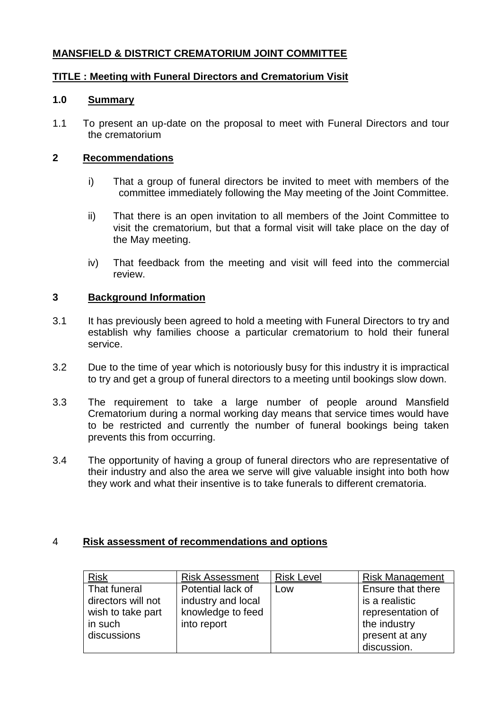# **MANSFIELD & DISTRICT CREMATORIUM JOINT COMMITTEE**

## **TITLE : Meeting with Funeral Directors and Crematorium Visit**

#### **1.0 Summary**

1.1 To present an up-date on the proposal to meet with Funeral Directors and tour the crematorium

## **2 Recommendations**

- i) That a group of funeral directors be invited to meet with members of the committee immediately following the May meeting of the Joint Committee.
- ii) That there is an open invitation to all members of the Joint Committee to visit the crematorium, but that a formal visit will take place on the day of the May meeting.
- iv) That feedback from the meeting and visit will feed into the commercial review.

#### **3 Background Information**

- 3.1 It has previously been agreed to hold a meeting with Funeral Directors to try and establish why families choose a particular crematorium to hold their funeral service.
- 3.2 Due to the time of year which is notoriously busy for this industry it is impractical to try and get a group of funeral directors to a meeting until bookings slow down.
- 3.3 The requirement to take a large number of people around Mansfield Crematorium during a normal working day means that service times would have to be restricted and currently the number of funeral bookings being taken prevents this from occurring.
- 3.4 The opportunity of having a group of funeral directors who are representative of their industry and also the area we serve will give valuable insight into both how they work and what their insentive is to take funerals to different crematoria.

## 4 **Risk assessment of recommendations and options**

| <b>Risk</b>        | <b>Risk Assessment</b> | <b>Risk Level</b> | <b>Risk Management</b> |
|--------------------|------------------------|-------------------|------------------------|
| That funeral       | Potential lack of      | Low               | Ensure that there      |
| directors will not | industry and local     |                   | is a realistic         |
| wish to take part  | knowledge to feed      |                   | representation of      |
| in such            | into report            |                   | the industry           |
| discussions        |                        |                   | present at any         |
|                    |                        |                   | discussion.            |